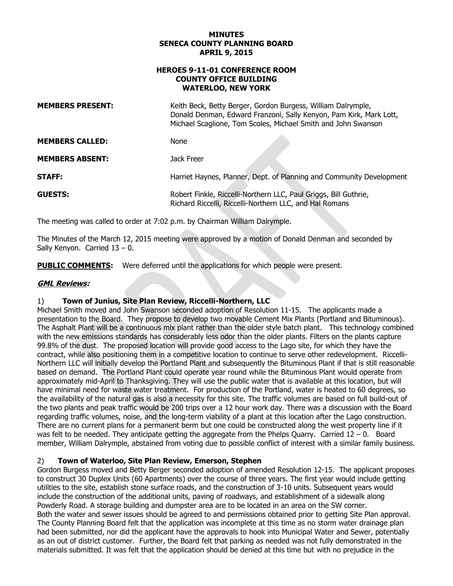### **APRIL 9, 2015 MINUTES SENECA COUNTY PLANNING BOARD**

### **HEROES 9-11-01 CONFERENCE ROOM WATERLOO, NEW YORK COUNTY OFFICE BUILDING**

| <b>MEMBERS PRESENT:</b> | Keith Beck, Betty Berger, Gordon Burgess, William Dalrymple,<br>Donald Denman, Edward Franzoni, Sally Kenyon, Pam Kirk, Mark Lott,<br>Michael Scaglione, Tom Scoles, Michael Smith and John Swanson |
|-------------------------|-----------------------------------------------------------------------------------------------------------------------------------------------------------------------------------------------------|
| <b>MEMBERS CALLED:</b>  | <b>None</b>                                                                                                                                                                                         |
| <b>MEMBERS ABSENT:</b>  | Jack Freer                                                                                                                                                                                          |
| <b>STAFF:</b>           | Harriet Haynes, Planner, Dept. of Planning and Community Development                                                                                                                                |
| <b>GUESTS:</b>          | Robert Finkle, Riccelli-Northern LLC, Paul Griggs, Bill Guthrie,<br>Richard Riccelli, Riccelli-Northern LLC, and Hal Romans                                                                         |

The meeting was called to order at 7:02 p.m. by Chairman William Dalrymple.

 The Minutes of the March 12, 2015 meeting were approved by a motion of Donald Denman and seconded by Sally Kenyon. Carried 13 – 0.

**PUBLIC COMMENTS:** Were deferred until the applications for which people were present.

# **GML Reviews:**

#### 1) **Town of Junius, Site Plan Review, Riccelli-Northern, LLC**

 Michael Smith moved and John Swanson seconded adoption of Resolution 11-15. The applicants made a The Asphalt Plant will be a continuous mix plant rather than the older style batch plant. This technology combined with the new emissions standards has considerably less odor than the older plants. Filters on the plants capture 99.8% of the dust. The proposed location will provide good access to the Lago site, for which they have the Northern LLC will initially develop the Portland Plant and subsequently the Bituminous Plant if that is still reasonable have minimal need for waste water treatment. For production of the Portland, water is heated to 60 degrees, so regarding traffic volumes, noise, and the long-term viability of a plant at this location after the Lago construction. was felt to be needed. They anticipate getting the aggregate from the Phelps Quarry. Carried 12 – 0. Board presentation to the Board. They propose to develop two movable Cement Mix Plants (Portland and Bituminous). contract, while also positioning them in a competitive location to continue to serve other redevelopment. Riccellibased on demand. The Portland Plant could operate year round while the Bituminous Plant would operate from approximately mid-April to Thanksgiving. They will use the public water that is available at this location, but will the availability of the natural gas is also a necessity for this site. The traffic volumes are based on full build-out of the two plants and peak traffic would be 200 trips over a 12 hour work day. There was a discussion with the Board There are no current plans for a permanent berm but one could be constructed along the west property line if it member, William Dalrymple, abstained from voting due to possible conflict of interest with a similar family business.

#### $2)$ 2) **Town of Waterloo, Site Plan Review, Emerson, Stephen**

 Gordon Burgess moved and Betty Berger seconded adoption of amended Resolution 12-15. The applicant proposes had been submitted, nor did the applicant have the approvals to hook into Municipal Water and Sewer, potentially as an out of district customer. Further, the Board felt that parking as needed was not fully demonstrated in the to construct 30 Duplex Units (60 Apartments) over the course of three years. The first year would include getting utilities to the site, establish stone surface roads, and the construction of 3-10 units. Subsequent years would include the construction of the additional units, paving of roadways, and establishment of a sidewalk along Powderly Road. A storage building and dumpster area are to be located in an area on the SW corner. Both the water and sewer issues should be agreed to and permissions obtained prior to getting Site Plan approval. The County Planning Board felt that the application was incomplete at this time as no storm water drainage plan materials submitted. It was felt that the application should be denied at this time but with no prejudice in the